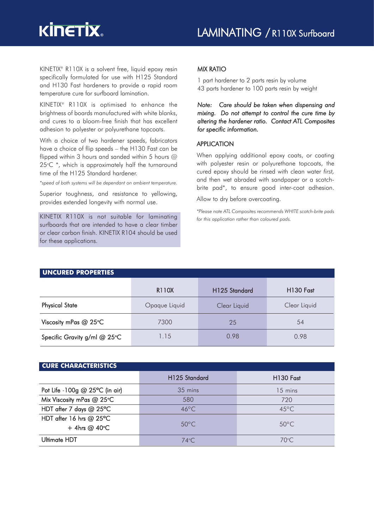KINETIX® R110X is a solvent free, liquid epoxy resin specifically formulated for use with H125 Standard and H130 Fast hardeners to provide a rapid room temperature cure for surfboard lamination.

KINETIX® R110X is optimised to enhance the brightness of boards manufactured with white blanks, and cures to a bloom-free finish that has excellent adhesion to polyester or polyurethane topcoats.

With a choice of two hardener speeds, fabricators have a choice of flip speeds – the H130 Fast can be flipped within 3 hours and sanded within 5 hours @  $25^{\circ}$ C  $^{*}$ , which is approximately half the turnaround time of the H125 Standard hardener.

*\*speed of both systems will be dependant on ambient temperature.*

Superior toughness, and resistance to yellowing, provides extended longevity with normal use.

KINETIX R110X is not suitable for laminating surfboards that are intended to have a clear timber or clear carbon finish. KINETIX R104 should be used for these applications.

# MIX RATIO

1 part hardener to 2 parts resin by volume 43 parts hardener to 100 parts resin by weight

*Note: Care should be taken when dispensing and mixing. Do not attempt to control the cure time by altering the hardener ratio. Contact ATL Composites for specific information.*

## APPLICATION

When applying additional epoxy coats, or coating with polyester resin or polyurethane topcoats, the cured epoxy should be rinsed with clean water *first,* and then wet abraded with sandpaper or a scotchbrite pad\*, to ensure good inter-coat adhesion.

Allow to dry before overcoating.

*\*Please note ATL Composites recommends WHITE scotch-brite pads for this application rather than coloured pads.*

| <b>UNCURED PROPERTIES</b>    |               |                           |                       |  |  |  |  |
|------------------------------|---------------|---------------------------|-----------------------|--|--|--|--|
|                              | R110X         | H <sub>125</sub> Standard | H <sub>130</sub> Fast |  |  |  |  |
| <b>Physical State</b>        | Opaque Liquid | Clear Liquid              | Clear Liquid          |  |  |  |  |
| Viscosity mPas @ 25°C        | 7300          | 25                        | 54                    |  |  |  |  |
| Specific Gravity g/ml @ 25°C | 1.15          | 0.98                      | 0.98                  |  |  |  |  |

## **CURE CHARACTERISTICS**

|                                              | H <sub>125</sub> Standard | H <sub>130</sub> Fast |
|----------------------------------------------|---------------------------|-----------------------|
| Pot Life -100g $@$ 25°C (in air)             | 35 mins                   | $15 \text{ mins}$     |
| Mix Viscosity mPas @ 25°C                    | 580                       | 720                   |
| HDT after 7 days @ 25°C                      | $46^{\circ}$ C            | $45^{\circ}$ C        |
| HDT after 16 hrs $@$ 25°C<br>$+$ 4hrs @ 40°C | $50^{\circ}$ C            | $50^{\circ}$ C        |
| Ultimate HDT                                 | $74^{\circ}$ C            | $70^{\circ}$ C.       |